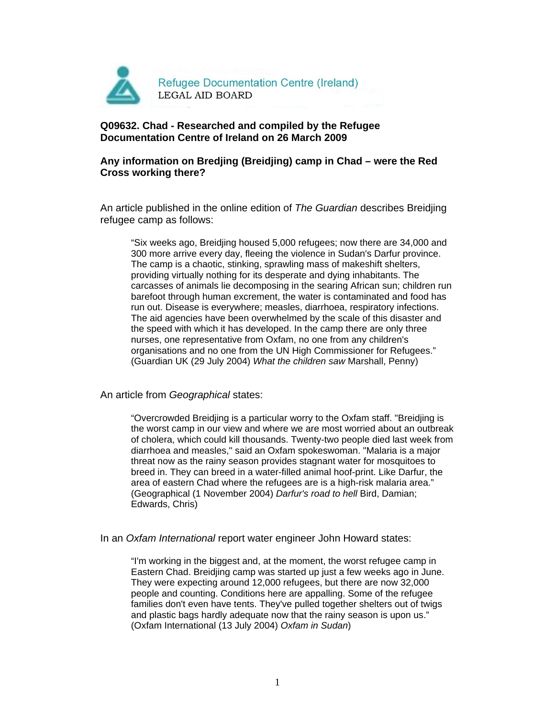

## **Q09632. Chad - Researched and compiled by the Refugee Documentation Centre of Ireland on 26 March 2009**

## **Any information on Bredjing (Breidjing) camp in Chad – were the Red Cross working there?**

An article published in the online edition of The Guardian describes Breidjing refugee camp as follows:

"Six weeks ago, Breidjing housed 5,000 refugees; now there are 34,000 and 300 more arrive every day, fleeing the violence in Sudan's Darfur province. The camp is a chaotic, stinking, sprawling mass of makeshift shelters, providing virtually nothing for its desperate and dying inhabitants. The carcasses of animals lie decomposing in the searing African sun; children run barefoot through human excrement, the water is contaminated and food has run out. Disease is everywhere; measles, diarrhoea, respiratory infections. The aid agencies have been overwhelmed by the scale of this disaster and the speed with which it has developed. In the camp there are only three nurses, one representative from Oxfam, no one from any children's organisations and no one from the UN High Commissioner for Refugees." (Guardian UK (29 July 2004) What the children saw Marshall, Penny)

An article from Geographical states:

"Overcrowded Breidjing is a particular worry to the Oxfam staff. "Breidjing is the worst camp in our view and where we are most worried about an outbreak of cholera, which could kill thousands. Twenty-two people died last week from diarrhoea and measles," said an Oxfam spokeswoman. "Malaria is a major threat now as the rainy season provides stagnant water for mosquitoes to breed in. They can breed in a water-filled animal hoof-print. Like Darfur, the area of eastern Chad where the refugees are is a high-risk malaria area." (Geographical (1 November 2004) Darfur's road to hell Bird, Damian; Edwards, Chris)

In an Oxfam International report water engineer John Howard states:

"I'm working in the biggest and, at the moment, the worst refugee camp in Eastern Chad. Breidjing camp was started up just a few weeks ago in June. They were expecting around 12,000 refugees, but there are now 32,000 people and counting. Conditions here are appalling. Some of the refugee families don't even have tents. They've pulled together shelters out of twigs and plastic bags hardly adequate now that the rainy season is upon us." (Oxfam International (13 July 2004) Oxfam in Sudan)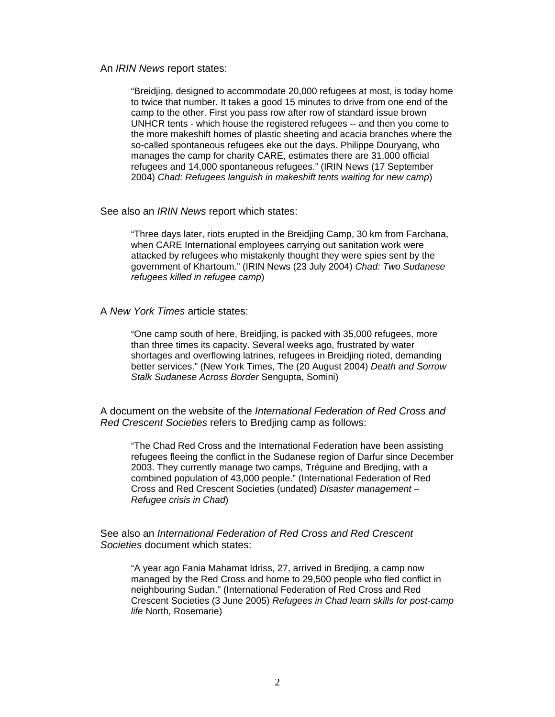An IRIN News report states:

"Breidjing, designed to accommodate 20,000 refugees at most, is today home to twice that number. It takes a good 15 minutes to drive from one end of the camp to the other. First you pass row after row of standard issue brown UNHCR tents - which house the registered refugees -- and then you come to the more makeshift homes of plastic sheeting and acacia branches where the so-called spontaneous refugees eke out the days. Philippe Douryang, who manages the camp for charity CARE, estimates there are 31,000 official refugees and 14,000 spontaneous refugees." (IRIN News (17 September 2004) Chad: Refugees languish in makeshift tents waiting for new camp)

See also an IRIN News report which states:

"Three days later, riots erupted in the Breidjing Camp, 30 km from Farchana, when CARE International employees carrying out sanitation work were attacked by refugees who mistakenly thought they were spies sent by the government of Khartoum." (IRIN News (23 July 2004) Chad: Two Sudanese refugees killed in refugee camp)

A New York Times article states:

"One camp south of here, Breidjing, is packed with 35,000 refugees, more than three times its capacity. Several weeks ago, frustrated by water shortages and overflowing latrines, refugees in Breidjing rioted, demanding better services." (New York Times, The (20 August 2004) Death and Sorrow Stalk Sudanese Across Border Sengupta, Somini)

A document on the website of the International Federation of Red Cross and Red Crescent Societies refers to Bredjing camp as follows:

"The Chad Red Cross and the International Federation have been assisting refugees fleeing the conflict in the Sudanese region of Darfur since December 2003. They currently manage two camps, Tréguine and Bredjing, with a combined population of 43,000 people." (International Federation of Red Cross and Red Crescent Societies (undated) Disaster management – Refugee crisis in Chad)

See also an International Federation of Red Cross and Red Crescent Societies document which states:

"A year ago Fania Mahamat Idriss, 27, arrived in Bredjing, a camp now managed by the Red Cross and home to 29,500 people who fled conflict in neighbouring Sudan." (International Federation of Red Cross and Red Crescent Societies (3 June 2005) Refugees in Chad learn skills for post-camp life North, Rosemarie)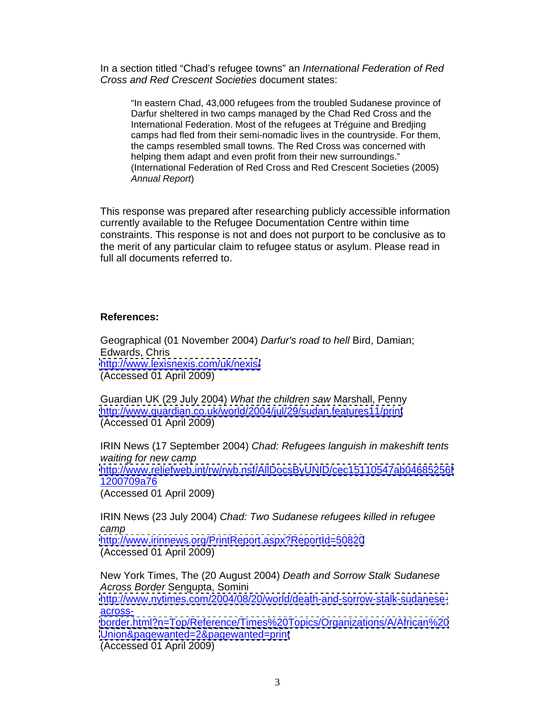In a section titled "Chad's refugee towns" an International Federation of Red Cross and Red Crescent Societies document states:

"In eastern Chad, 43,000 refugees from the troubled Sudanese province of Darfur sheltered in two camps managed by the Chad Red Cross and the International Federation. Most of the refugees at Tréguine and Bredjing camps had fled from their semi-nomadic lives in the countryside. For them, the camps resembled small towns. The Red Cross was concerned with helping them adapt and even profit from their new surroundings." (International Federation of Red Cross and Red Crescent Societies (2005) Annual Report)

This response was prepared after researching publicly accessible information currently available to the Refugee Documentation Centre within time constraints. This response is not and does not purport to be conclusive as to the merit of any particular claim to refugee status or asylum. Please read in full all documents referred to.

## **References:**

Geographical (01 November 2004) Darfur's road to hell Bird, Damian; Edwards, Chris <http://www.lexisnexis.com/uk/nexis/> (Accessed 01 April 2009)

Guardian UK (29 July 2004) What the children saw Marshall, Penny <http://www.guardian.co.uk/world/2004/jul/29/sudan.features11/print> (Accessed 01 April 2009)

IRIN News (17 September 2004) Chad: Refugees languish in makeshift tents waiting for new camp **contract that the example of the example of the example of the example of the example of the example of the example of the example of the example of the example of the example of the example of the ex** <http://www.reliefweb.int/rw/rwb.nsf/AllDocsByUNID/cec15110547ab04685256f> 1200709a76 (Accessed 01 April 2009)

IRIN News (23 July 2004) Chad: Two Sudanese refugees killed in refugee camp and the contract of the contract of the contract of the contract of the contract of the contract of the contract of the contract of the contract of the contract of the contract of the contract of the contract of the c <http://www.irinnews.org/PrintReport.aspx?ReportId=50820> (Accessed 01 April 2009)

New York Times, The (20 August 2004) Death and Sorrow Stalk Sudanese Across Border Sengupta, Somini [http://www.nytimes.com/2004/08/20/world/death-and-sorrow-stalk-sudanese](http://www.nytimes.com/2004/08/20/world/death-and-sorrow-stalk-sudanese-) across- and the contract of the contract of the contract of the contract of the contract of the contract of th <border.html?n=Top/Reference/Times%20Topics/Organizations/A/African%20> <Union&pagewanted=2&pagewanted=print> (Accessed 01 April 2009)